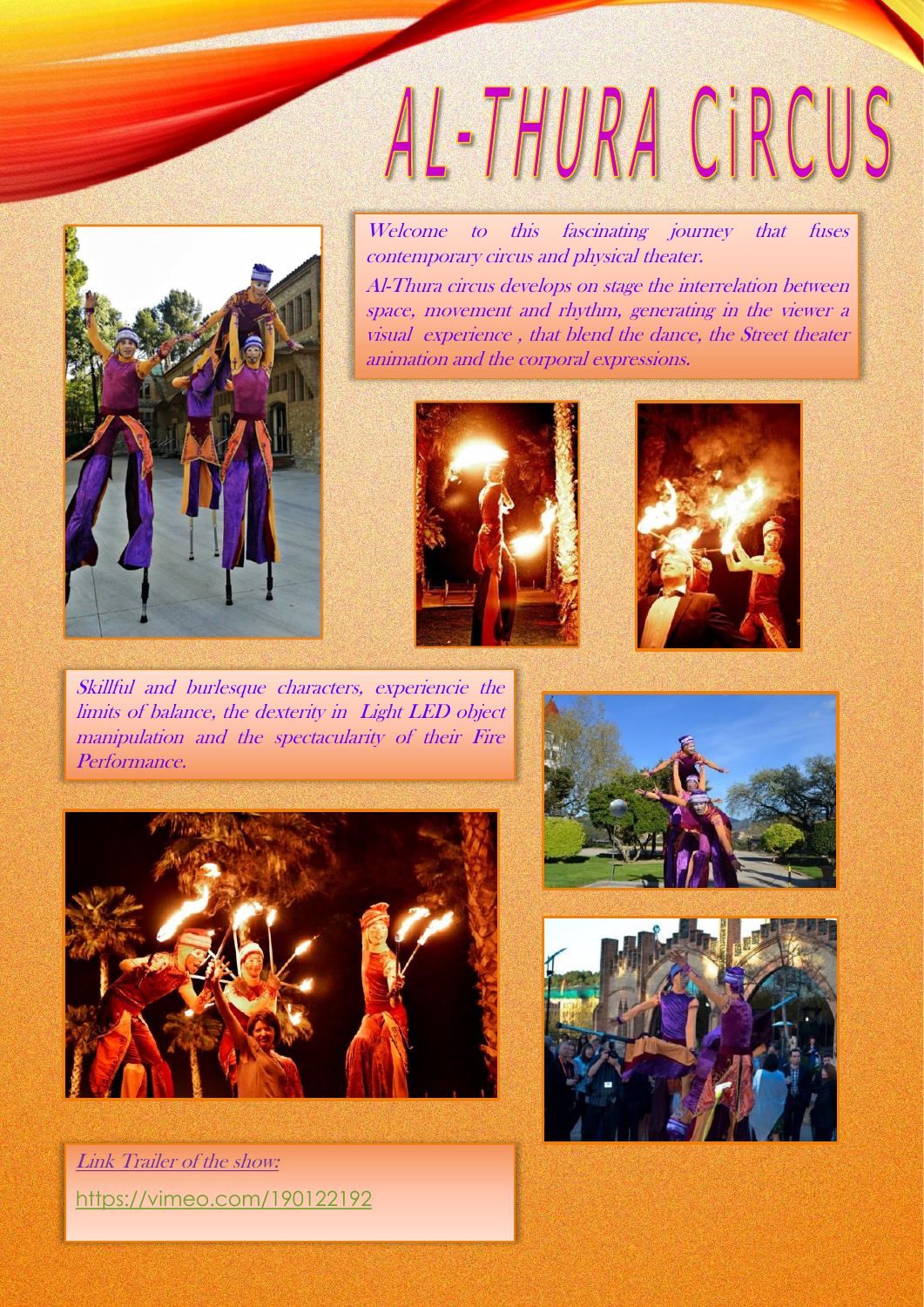## AL-THURA CIRCUS



Welcome to this fascinating journey that fuses contemporary circus and physical theater. Al-Thura circus develops on stage the interrelation between space, movement and rhythm, generating in the viewer <sup>a</sup> visual experience , that blend the dance, the Street theater animation and the corporal expressions.





Skillful and burlesque characters, experiencie the limits of balance, the dexterity in Light LED object manipulation and the spectacularity of their Fire Performance.